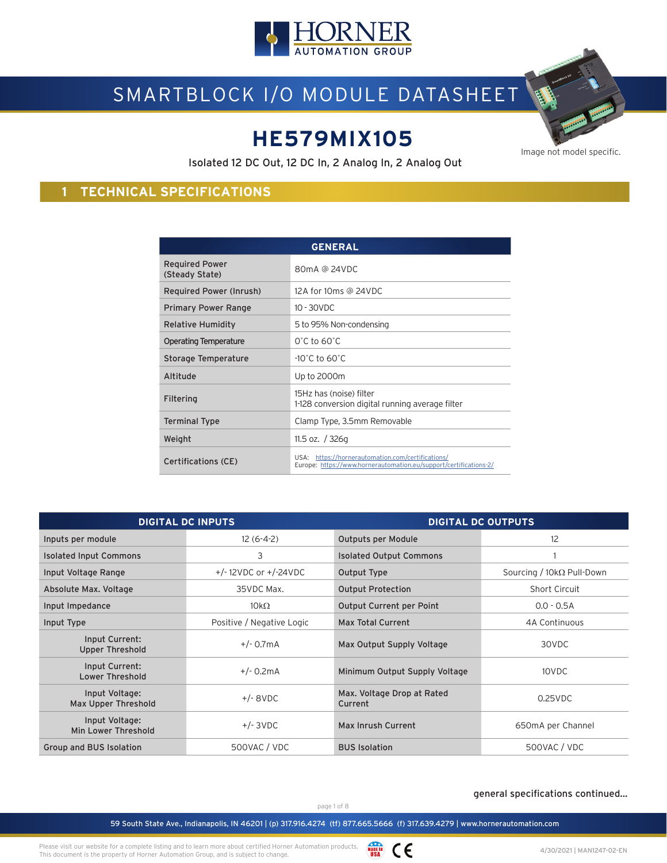

# SMARTBLOCK I/O MODULE DATASHEET

## **HE579MIX105**

Image not model specific.

Isolated 12 DC Out, 12 DC In, 2 Analog In, 2 Analog Out

## **1 TECHNICAL SPECIFICATIONS**

| <b>GENERAL</b>                          |                                                                                                                        |  |  |  |
|-----------------------------------------|------------------------------------------------------------------------------------------------------------------------|--|--|--|
| <b>Required Power</b><br>(Steady State) | 80mA @ 24VDC                                                                                                           |  |  |  |
| Required Power (Inrush)                 | 12A for 10ms @ 24VDC                                                                                                   |  |  |  |
| <b>Primary Power Range</b>              | $10 - 30$ VDC                                                                                                          |  |  |  |
| Relative Humidity                       | 5 to 95% Non-condensing                                                                                                |  |  |  |
| <b>Operating Temperature</b>            | $0^\circ$ C to 60 $^\circ$ C                                                                                           |  |  |  |
| Storage Temperature                     | $-10^{\circ}$ C to 60 $^{\circ}$ C                                                                                     |  |  |  |
| Altitude                                | Up to 2000m                                                                                                            |  |  |  |
| Filtering                               | 15Hz has (noise) filter<br>1-128 conversion digital running average filter                                             |  |  |  |
| Terminal Type                           | Clamp Type, 3.5mm Removable                                                                                            |  |  |  |
| Weight                                  | 11.5 oz. $/$ 326g                                                                                                      |  |  |  |
| <b>Certifications (CE)</b>              | USA: https://hornerautomation.com/certifications/<br>Europe: https://www.hornerautomation.eu/support/certifications-2/ |  |  |  |

| <b>DIGITAL DC INPUTS</b>                 |                             | <b>DIGITAL DC OUTPUTS</b>             |                                  |  |
|------------------------------------------|-----------------------------|---------------------------------------|----------------------------------|--|
| Inputs per module                        | $12(6-4-2)$                 | <b>Outputs per Module</b>             | 12                               |  |
| <b>Isolated Input Commons</b>            | 3                           | <b>Isolated Output Commons</b>        |                                  |  |
| Input Voltage Range                      | $+/- 12$ VDC or $+/-24$ VDC | Output Type                           | Sourcing / $10k\Omega$ Pull-Down |  |
| Absolute Max. Voltage                    | 35VDC Max.                  | <b>Output Protection</b>              | <b>Short Circuit</b>             |  |
| Input Impedance                          | $10k\Omega$                 | Output Current per Point              | $0.0 - 0.5A$                     |  |
| Input Type                               | Positive / Negative Logic   | <b>Max Total Current</b>              | 4A Continuous                    |  |
| Input Current:<br><b>Upper Threshold</b> | $+/- 0.7mA$                 | Max Output Supply Voltage             | 30VDC                            |  |
| Input Current:<br><b>Lower Threshold</b> | $+/- 0.2mA$                 | Minimum Output Supply Voltage         | 10VDC                            |  |
| Input Voltage:<br>Max Upper Threshold    | $+/-$ 8VDC                  | Max. Voltage Drop at Rated<br>Current | $0.25$ VDC                       |  |
| Input Voltage:<br>Min Lower Threshold    | $+/- 3VDC$                  | Max Inrush Current                    | 650mA per Channel                |  |
| Group and BUS Isolation                  | 500VAC / VDC                | <b>BUS Isolation</b>                  | 500VAC / VDC                     |  |

#### general specifications continued...

page 1 of 8

59 South State Ave., Indianapolis, IN 46201 | (p) 317.916.4274 (tf) 877.665.5666 (f) 317.639.4279 | www.hornerautomation.com

Please visit our website for a complete listing and to learn more about certified Horner Automation products. This document is the property of Horner Automation Group, and is subject to change.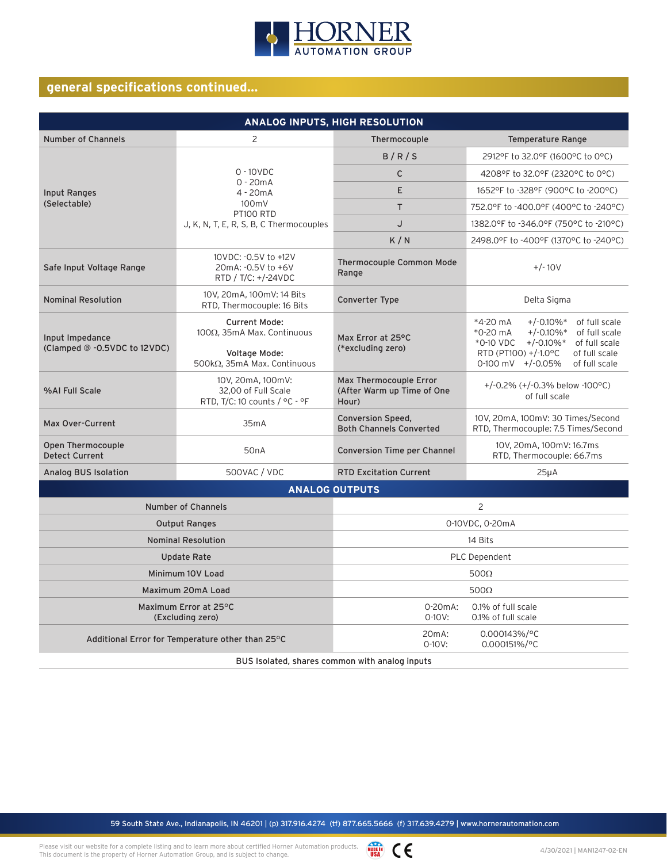

## **general specifications continued...**

| ANALOG INPUTS, HIGH RESOLUTION                   |                                                                                                                                            |                                                            |                                                                                                                                                                                                                                       |  |  |
|--------------------------------------------------|--------------------------------------------------------------------------------------------------------------------------------------------|------------------------------------------------------------|---------------------------------------------------------------------------------------------------------------------------------------------------------------------------------------------------------------------------------------|--|--|
| <b>Number of Channels</b>                        | 2                                                                                                                                          | Thermocouple                                               | <b>Temperature Range</b>                                                                                                                                                                                                              |  |  |
|                                                  |                                                                                                                                            | B/R/S                                                      | 2912°F to 32.0°F (1600°C to 0°C)                                                                                                                                                                                                      |  |  |
|                                                  | $0 - 10 VDC$                                                                                                                               | $\mathsf{C}$                                               | 4208°F to 32.0°F (2320°C to 0°C)                                                                                                                                                                                                      |  |  |
| Input Ranges                                     | $0 - 20mA$<br>$4 - 20mA$                                                                                                                   | E                                                          | 1652°F to -328°F (900°C to -200°C)                                                                                                                                                                                                    |  |  |
| (Selectable)                                     | 100mV<br>PT100 RTD                                                                                                                         | T.                                                         | 752.0°F to -400.0°F (400°C to -240°C)                                                                                                                                                                                                 |  |  |
|                                                  | J, K, N, T, E, R, S, B, C Thermocouples                                                                                                    | J                                                          | 1382.0°F to -346.0°F (750°C to -210°C)                                                                                                                                                                                                |  |  |
|                                                  |                                                                                                                                            | K/N                                                        | 2498.0°F to -400°F (1370°C to -240°C)                                                                                                                                                                                                 |  |  |
| Safe Input Voltage Range                         | 10VDC: - 0.5V to +12V<br>20mA: -0.5V to +6V<br>RTD / T/C: +/-24VDC                                                                         | <b>Thermocouple Common Mode</b><br>Range                   | $+/- 10V$                                                                                                                                                                                                                             |  |  |
| <b>Nominal Resolution</b>                        | 10V, 20mA, 100mV: 14 Bits<br>RTD, Thermocouple: 16 Bits                                                                                    | Converter Type                                             | Delta Sigma                                                                                                                                                                                                                           |  |  |
| Input Impedance<br>(Clamped @ -0.5VDC to 12VDC)  | <b>Current Mode:</b><br>$100Ω$ . 35mA Max. Continuous<br>Voltage Mode:<br>500kΩ, 35mA Max. Continuous                                      | Max Error at 25°C<br>(*excluding zero)                     | *4-20 mA<br>$+/-0.10\%$ *<br>of full scale<br>of full scale<br>*0-20 mA<br>$+/-0.10\%$ <sup>*</sup><br>$+/-0.10\%$ *<br>*0-10 VDC<br>of full scale<br>RTD (PT100) +/-1.0°C<br>of full scale<br>$0-100$ mV $+/-0.05%$<br>of full scale |  |  |
| %AI Full Scale                                   | Max Thermocouple Error<br>10V, 20mA, 100mV:<br>32.00 of Full Scale<br>(After Warm up Time of One<br>RTD, T/C: 10 counts / °C - °F<br>Hour) |                                                            | +/-0.2% $(+/-0.3%$ below -100°C)<br>of full scale                                                                                                                                                                                     |  |  |
| <b>Max Over-Current</b>                          | 35mA                                                                                                                                       | <b>Conversion Speed,</b><br><b>Both Channels Converted</b> | 10V, 20mA, 100mV: 30 Times/Second<br>RTD, Thermocouple: 7.5 Times/Second                                                                                                                                                              |  |  |
| Open Thermocouple<br><b>Detect Current</b>       | 50 <sub>n</sub> A                                                                                                                          | <b>Conversion Time per Channel</b>                         | 10V, 20mA, 100mV: 16.7ms<br>RTD, Thermocouple: 66.7ms                                                                                                                                                                                 |  |  |
| Analog BUS Isolation                             | 500VAC / VDC                                                                                                                               | <b>RTD Excitation Current</b>                              | $25\mu A$                                                                                                                                                                                                                             |  |  |
|                                                  |                                                                                                                                            | <b>ANALOG OUTPUTS</b>                                      |                                                                                                                                                                                                                                       |  |  |
| <b>Number of Channels</b>                        |                                                                                                                                            | 2                                                          |                                                                                                                                                                                                                                       |  |  |
| <b>Output Ranges</b>                             |                                                                                                                                            | 0-10VDC, 0-20mA                                            |                                                                                                                                                                                                                                       |  |  |
| <b>Nominal Resolution</b>                        |                                                                                                                                            | 14 Bits                                                    |                                                                                                                                                                                                                                       |  |  |
| <b>Update Rate</b>                               |                                                                                                                                            | PLC Dependent                                              |                                                                                                                                                                                                                                       |  |  |
| Minimum 10V Load                                 |                                                                                                                                            | $500\Omega$                                                |                                                                                                                                                                                                                                       |  |  |
|                                                  | Maximum 20mA Load                                                                                                                          |                                                            | $500\Omega$                                                                                                                                                                                                                           |  |  |
|                                                  | Maximum Error at 25°C<br>(Excluding zero)                                                                                                  | $0-20mA$ :<br>$0 - 10V:$                                   | 0.1% of full scale<br>0.1% of full scale                                                                                                                                                                                              |  |  |
| Additional Error for Temperature other than 25°C |                                                                                                                                            | 20 <sub>m</sub> A:<br>$0 - 10V:$                           | 0.000143%/°C<br>0.000151%/°C                                                                                                                                                                                                          |  |  |

BUS Isolated, shares common with analog inputs

59 South State Ave., Indianapolis, IN 46201 | (p) 317.916.4274 (tf) 877.665.5666 (f) 317.639.4279 | www.hornerautomation.com

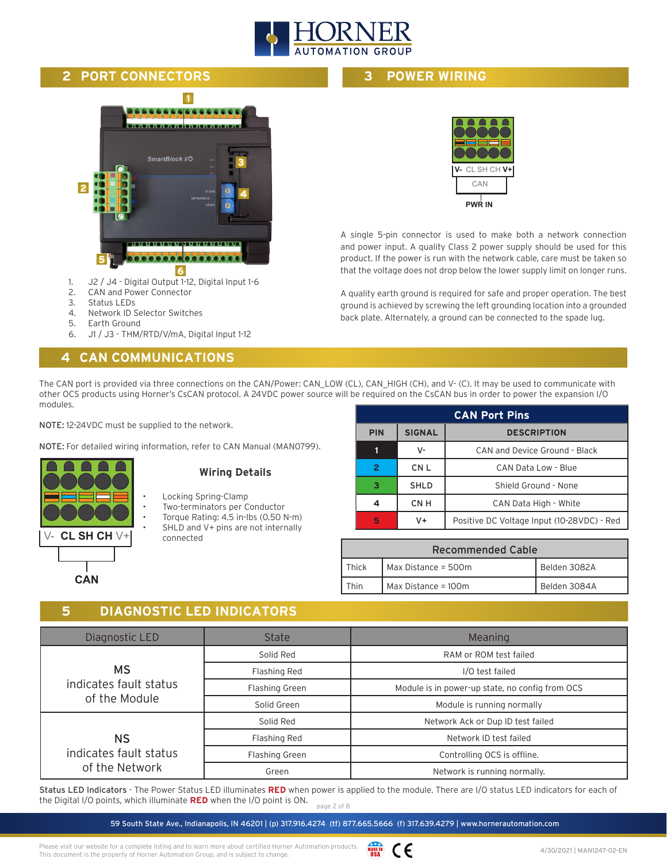

#### **2 PORT CONNECTORS**

## **1** 666 SmartBlock I/O **3 2 4 5** <u>e.e.e.e.e.e.e.e.</u> **6**

- 1. J2 / J4 Digital Output 1-12, Digital Input 1-6
- 2. CAN and Power Connector
- 3. Status LEDs
- 4. Network ID Selector Switches
- 5. Earth Ground
- 6. J1 / J3 THM/RTD/V/mA, Digital Input 1-12

## **4 CAN COMMUNICATIONS**

**3 POWER WIRING**



A single 5-pin connector is used to make both a network connection and power input. A quality Class 2 power supply should be used for this product. If the power is run with the network cable, care must be taken so that the voltage does not drop below the lower supply limit on longer runs.

A quality earth ground is required for safe and proper operation. The best ground is achieved by screwing the left grounding location into a grounded back plate. Alternately, a ground can be connected to the spade lug.

The CAN port is provided via three connections on the CAN/Power: CAN\_LOW (CL), CAN\_HIGH (CH), and V- (C). It may be used to communicate with other OCS products using Horner's CsCAN protocol. A 24VDC power source will be required on the CsCAN bus in order to power the expansion I/O modules.

NOTE: 12-24VDC must be supplied to the network.

NOTE: For detailed wiring information, refer to CAN Manual (MAN0799).

| CL SH CH $V +$ |
|----------------|
|                |
| <b>CAN</b>     |

#### **Wiring Details**

- Locking Spring-Clamp
- Two-terminators per Conductor
- Torque Rating: 4.5 in-lbs (0.50 N-m) SHLD and V+ pins are not internally connected

|                                                   | <b>CAN Port Pins</b>                |                                            |  |
|---------------------------------------------------|-------------------------------------|--------------------------------------------|--|
| <b>SIGNAL</b><br><b>PIN</b><br><b>DESCRIPTION</b> |                                     |                                            |  |
|                                                   | v-                                  | CAN and Device Ground - Black              |  |
| $\overline{2}$                                    | CN L<br>CAN Data Low - Blue         |                                            |  |
| з                                                 | <b>SHLD</b><br>Shield Ground - None |                                            |  |
|                                                   | CN <sub>H</sub>                     | CAN Data High - White                      |  |
| 5                                                 | V+                                  | Positive DC Voltage Input (10-28VDC) - Red |  |

| <b>Recommended Cable</b> |                                     |              |  |
|--------------------------|-------------------------------------|--------------|--|
| Thick                    | Belden 3082A<br>Max Distance = 500m |              |  |
| Fhin                     | Max Distance = $100m$               | Belden 3084A |  |

#### **5 DIAGNOSTIC LED INDICATORS**

| Diagnostic LED         | <b>State</b>          | Meaning                                         |
|------------------------|-----------------------|-------------------------------------------------|
|                        | Solid Red             | RAM or ROM test failed                          |
| <b>MS</b>              | Flashing Red          | I/O test failed                                 |
| indicates fault status | <b>Flashing Green</b> | Module is in power-up state, no config from OCS |
| of the Module          | Solid Green           | Module is running normally                      |
|                        | Solid Red             | Network Ack or Dup ID test failed               |
| <b>NS</b>              | Flashing Red          | Network ID test failed                          |
| indicates fault status | Flashing Green        | Controlling OCS is offline.                     |
| of the Network         | Green                 | Network is running normally.                    |

page 2 of 8 Status LED Indicators - The Power Status LED illuminates **RED** when power is applied to the module. There are I/O status LED indicators for each of the Digital I/O points, which illuminate **RED** when the I/O point is ON.

59 South State Ave., Indianapolis, IN 46201 | (p) 317.916.4274 (tf) 877.665.5666 (f) 317.639.4279 | www.hornerautomation.com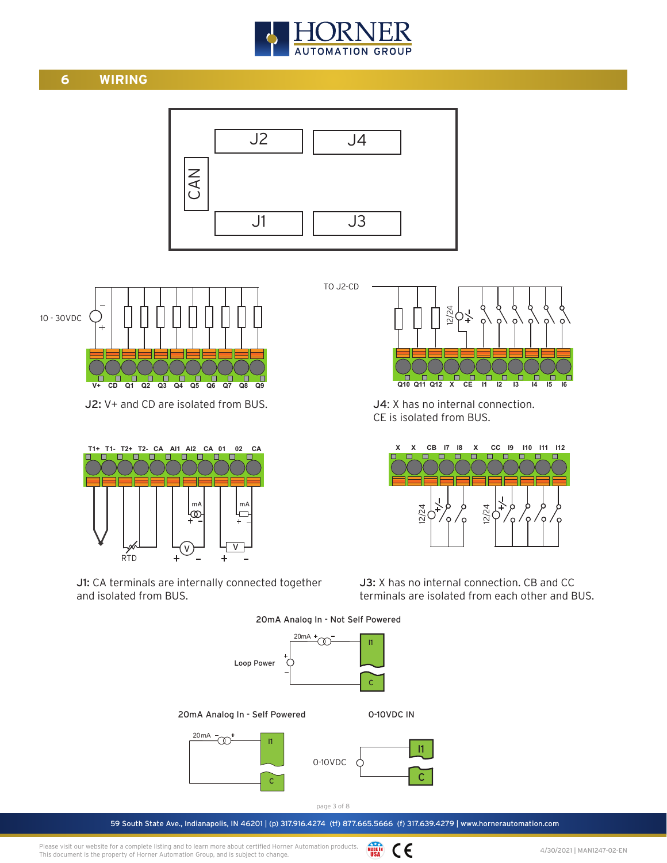

## **6 WIRING**



TO J2-CD



J2: V+ and CD are isolated from BUS.



J1: CA terminals are internally connected together and isolated from BUS.

 **Q10 Q11 Q12 X CE I1 I2 I3 I4 I5 I6** 12/24

J4: X has no internal connection. CE is isolated from BUS.



J3: X has no internal connection. CB and CC terminals are isolated from each other and BUS.

 $20mA +$ I1

20mA Analog In - Not Self Powered



59 South State Ave., Indianapolis, IN 46201 | (p) 317.916.4274 (tf) 877.665.5666 (f) 317.639.4279 | www.hornerautomation.com

WADE IN CE Please visit our website for a complete listing and to learn more about certified Horner Automation products. This document is the property of Horner Automation Group, and is subject to change.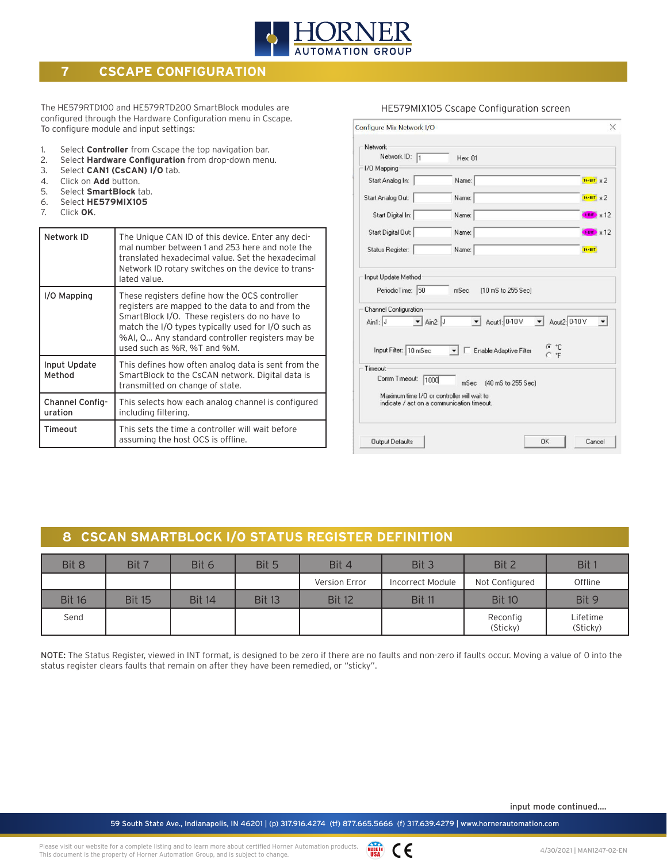

## **7 CSCAPE CONFIGURATION**

The HE579RTD100 and HE579RTD200 SmartBlock modules are configured through the Hardware Configuration menu in Cscape. To configure module and input settings:

- 1. Select **Controller** from Cscape the top navigation bar.
- 2. Select **Hardware Configuration** from drop-down menu.
- 3. Select **CAN1 (CsCAN) I/O** tab.
- 4. Click on **Add** button.<br>5. Select **SmartBlock** ta
- 5. Select **SmartBlock** tab.
- 6. Select **HE579MIX105**
- 7. Click **OK**.

| Network ID                 | The Unique CAN ID of this device. Enter any deci-<br>mal number between 1 and 253 here and note the<br>translated hexadecimal value. Set the hexadecimal<br>Network ID rotary switches on the device to trans-<br>lated value.                                                             |
|----------------------------|--------------------------------------------------------------------------------------------------------------------------------------------------------------------------------------------------------------------------------------------------------------------------------------------|
| I/O Mapping                | These registers define how the OCS controller<br>registers are mapped to the data to and from the<br>SmartBlock I/O. These registers do no have to<br>match the I/O types typically used for I/O such as<br>%AI, Q Any standard controller registers may be<br>used such as %R, %T and %M. |
| Input Update<br>Method     | This defines how often analog data is sent from the<br>SmartBlock to the CsCAN network. Digital data is<br>transmitted on change of state.                                                                                                                                                 |
| Channel Config-<br>uration | This selects how each analog channel is configured<br>including filtering.                                                                                                                                                                                                                 |
| Timeout                    | This sets the time a controller will wait before<br>assuming the host OCS is offline.                                                                                                                                                                                                      |

| Network<br>Network ID: 1                                                                      | Hex: 01                       |                    |
|-----------------------------------------------------------------------------------------------|-------------------------------|--------------------|
| 1/0 Mapping                                                                                   |                               |                    |
| Start Analog In:                                                                              | Name:                         | $16-BT \times 2$   |
| Start Analog Out:                                                                             | Name:                         | $16-BT$ $\times 2$ |
| Start Digital In:                                                                             | Name:                         | $1-BID \times 12$  |
| Start Digital Out:                                                                            | Name:                         | $FBT$ $\times$ 12  |
| Status Register:                                                                              | Name:                         | 16-BIT             |
| Channel Configuration<br>$\overline{\phantom{a}}$ Ain2: $\overline{\phantom{a}}$<br>Ain1: $J$ | Aout1: 0-10 V > Aout2: 0-10 V |                    |
| Input Filter: 10 mSec                                                                         | Enable Adaptive Filter        | •் "⊏<br>$C$ $F$   |
| Timeout                                                                                       |                               |                    |
| Comm Timeout:<br>1000                                                                         | mSec<br>(40 mS to 255 Sec)    |                    |
| Maximum time I/O or controller will wait to<br>indicate / act on a communication timeout.     |                               |                    |
|                                                                                               |                               |                    |

HE579MIX105 Cscape Configuration screen

## **8 CSCAN SMARTBLOCK I/O STATUS REGISTER DEFINITION**

| Bit 8         | Bit 7         | Bit 6         | Bit 5         | Bit 4         | Bit 3            | Bit 2                | Bit 1                |
|---------------|---------------|---------------|---------------|---------------|------------------|----------------------|----------------------|
|               |               |               |               | Version Error | Incorrect Module | Not Configured       | Offline              |
| <b>Bit 16</b> | <b>Bit 15</b> | <b>Bit 14</b> | <b>Bit 13</b> | <b>Bit 12</b> | <b>Bit 11</b>    | <b>Bit 10</b>        | Bit 9                |
| Send          |               |               |               |               |                  | Reconfig<br>(Sticky) | Lifetime<br>(Sticky) |

NOTE: The Status Register, viewed in INT format, is designed to be zero if there are no faults and non-zero if faults occur. Moving a value of 0 into the status register clears faults that remain on after they have been remedied, or "sticky".

input mode continued....

59 South State Ave., Indianapolis, IN 46201 | (p) 317.916.4274 (tf) 877.665.5666 (f) 317.639.4279 | www.hornerautomation.com

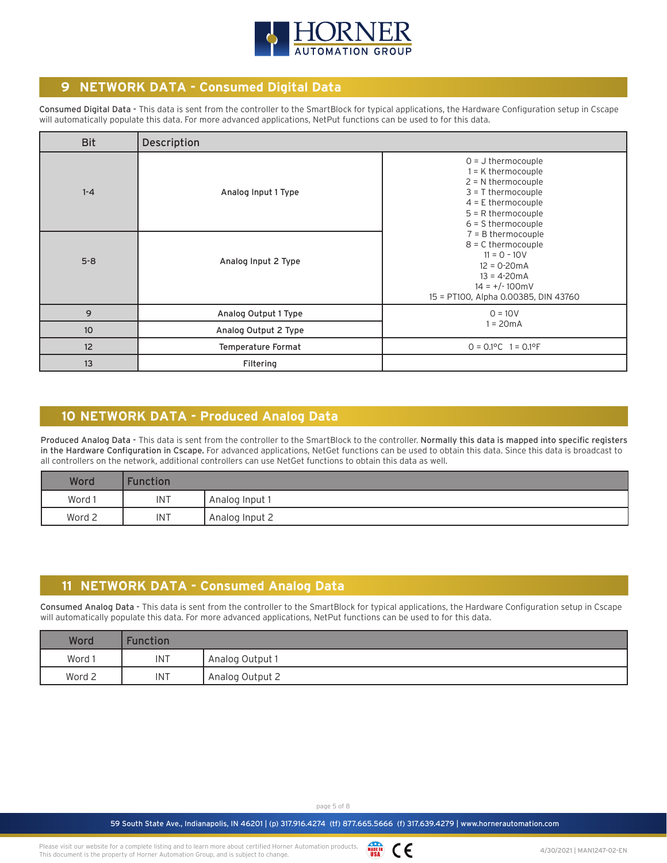

## **9 NETWORK DATA - Consumed Digital Data**

Consumed Digital Data - This data is sent from the controller to the SmartBlock for typical applications, the Hardware Configuration setup in Cscape will automatically populate this data. For more advanced applications, NetPut functions can be used to for this data.

| <b>Bit</b> | Description          |                                                                                                                                                                           |  |
|------------|----------------------|---------------------------------------------------------------------------------------------------------------------------------------------------------------------------|--|
| $1 - 4$    | Analog Input 1 Type  | $0 = J$ thermocouple<br>$1 = K$ thermocouple<br>$2 = N$ thermocouple<br>$3 = T$ thermocouple<br>$4 = E$ thermocouple<br>$5 = R$ thermocouple<br>$6 = S$ thermocouple      |  |
| $5 - 8$    | Analog Input 2 Type  | $7 = B$ thermocouple<br>$8 = C$ thermocouple<br>$11 = 0 - 10V$<br>$12 = 0 - 20mA$<br>$13 = 4 - 20 \text{ mA}$<br>$14 = +/-100$ mV<br>15 = PT100, Alpha 0.00385, DIN 43760 |  |
| 9          | Analog Output 1 Type | $0 = 10V$                                                                                                                                                                 |  |
| 10         | Analog Output 2 Type | $1 = 20mA$                                                                                                                                                                |  |
| 12         | Temperature Format   | $0 = 0.1$ °C $1 = 0.1$ °F                                                                                                                                                 |  |
| 13         | Filtering            |                                                                                                                                                                           |  |

## **10 NETWORK DATA - Produced Analog Data**

Produced Analog Data - This data is sent from the controller to the SmartBlock to the controller. Normally this data is mapped into specific registers in the Hardware Configuration in Cscape. For advanced applications, NetGet functions can be used to obtain this data. Since this data is broadcast to all controllers on the network, additional controllers can use NetGet functions to obtain this data as well.

| Word   | <b>Function</b> |                  |
|--------|-----------------|------------------|
| Word 1 | INT             | l Analog Input 1 |
| Word 2 | INT             | Analog Input 2   |

## **11 NETWORK DATA - Consumed Analog Data**

Consumed Analog Data - This data is sent from the controller to the SmartBlock for typical applications, the Hardware Configuration setup in Cscape will automatically populate this data. For more advanced applications, NetPut functions can be used to for this data.

| Word   | Function   |                 |
|--------|------------|-----------------|
| Word 1 | <b>INT</b> | Analog Output 1 |
| Word 2 | <b>INT</b> | Analog Output 2 |

page 5 of 8

WADE IN CE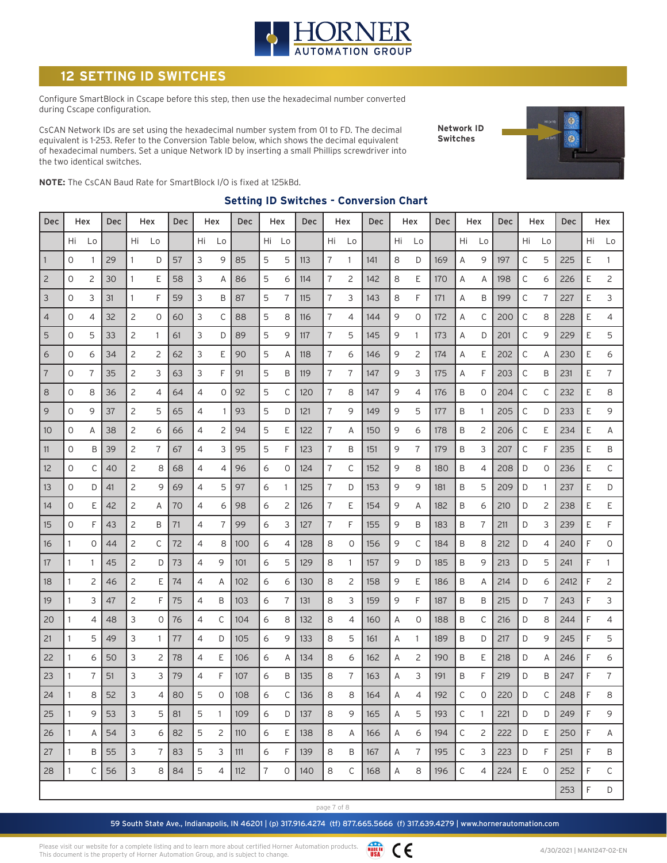

## **SETTING ID SWITCHES**

Configure SmartBlock in Cscape before this step, then use the hexadecimal number converted during Cscape configuration.

CsCAN Network IDs are set using the hexadecimal number system from 01 to FD. The decimal equivalent is 1-253. Refer to the Conversion Table below, which shows the decimal equivalent of hexadecimal numbers. Set a unique Network ID by inserting a small Phillips screwdriver into the two identical switches.

**Network ID Switches**



**NOTE:** The CsCAN Baud Rate for SmartBlock I/O is fixed at 125kBd.

#### **Setting ID Switches - Conversion Chart**

| Dec            |              | Hex            | Dec<br>Hex |              |              | Dec<br>Hex |    | Dec          | Hex |    | Dec | Hex |    | Dec          | Hex |    | Dec            | Hex |              | Dec<br>Hex   |     |    | <b>Dec</b> | Hex  |    |                |
|----------------|--------------|----------------|------------|--------------|--------------|------------|----|--------------|-----|----|-----|-----|----|--------------|-----|----|----------------|-----|--------------|--------------|-----|----|------------|------|----|----------------|
|                | Hi           | Lo             |            | Hi           | Lo           |            | Hi | Lo           |     | Hi | Lo  |     | Hi | Lo           |     | Hi | Lo             |     | Hi           | Lo           |     | Hi | Lo         |      | Hi | Lo             |
| $\mathbf{1}$   | 0            | 1              | 29         | 1            | D            | 57         | 3  | 9            | 85  | 5  | 5   | 113 | 7  | $\mathbf{1}$ | 141 | 8  | D              | 169 | Α            | 9            | 197 | С  | 5          | 225  | E  | 1              |
| $\overline{c}$ | 0            | 2              | 30         | $\mathbf{1}$ | Ε            | 58         | 3  | Α            | 86  | 5  | 6   | 114 | 7  | 2            | 142 | 8  | Ε              | 170 | Α            | Α            | 198 | С  | 6          | 226  | Ε  | 2              |
| 3              | 0            | 3              | 31         | 1            | F            | 59         | 3  | B            | 87  | 5  | 7   | 115 | 7  | 3            | 143 | 8  | F              | 171 | Α            | B            | 199 | С  | 7          | 227  | E  | 3              |
| 4              | 0            | 4              | 32         | 2            | 0            | 60         | 3  | C            | 88  | 5  | 8   | 116 | 7  | 4            | 144 | 9  | 0              | 172 | Α            | С            | 200 | С  | 8          | 228  | Ε  | 4              |
| 5              | 0            | 5              | 33         | 2            | $\mathbf{1}$ | 61         | 3  | D            | 89  | 5  | 9   | 117 | 7  | 5            | 145 | 9  | 1              | 173 | Α            | D            | 201 | С  | 9          | 229  | E  | 5              |
| 6              | 0            | 6              | 34         | 2            | 2            | 62         | 3  | Ε            | 90  | 5  | А   | 118 | 7  | 6            | 146 | 9  | $\overline{c}$ | 174 | Α            | Ε            | 202 | С  | Α          | 230  | Ε  | 6              |
| $\overline{7}$ | 0            | 7              | 35         | 2            | 3            | 63         | 3  | F            | 91  | 5  | B   | 119 | 7  | 7            | 147 | 9  | 3              | 175 | Α            | F            | 203 | С  | B          | 231  | Ε  | 7              |
| 8              | 0            | 8              | 36         | 2            | 4            | 64         | 4  | 0            | 92  | 5  | С   | 120 | 7  | 8            | 147 | 9  | 4              | 176 | B            | 0            | 204 | С  | С          | 232  | Ε  | 8              |
| 9              | 0            | 9              | 37         | 2            | 5            | 65         | 4  | -1           | 93  | 5  | D   | 121 | 7  | 9            | 149 | 9  | 5              | 177 | B            | -1           | 205 | С  | D          | 233  | E  | 9              |
| 10             | 0            | Α              | 38         | 2            | 6            | 66         | 4  | 2            | 94  | 5  | Ε   | 122 | 7  | A            | 150 | 9  | 6              | 178 | B            | 2            | 206 | С  | E          | 234  | E  | Α              |
| 11             | 0            | Β              | 39         | 2            | 7            | 67         | 4  | 3            | 95  | 5  | F   | 123 | 7  | B            | 151 | 9  | 7              | 179 | B            | 3            | 207 | С  | F          | 235  | Ε  | Β              |
| 12             | 0            | С              | 40         | 2            | 8            | 68         | 4  | 4            | 96  | 6  | 0   | 124 | 7  | С            | 152 | 9  | 8              | 180 | B            | 4            | 208 | D  | 0          | 236  | Ε  | С              |
| 13             | 0            | D              | 41         | 2            | 9            | 69         | 4  | 5            | 97  | 6  | 1   | 125 | 7  | D            | 153 | 9  | 9              | 181 | B            | 5            | 209 | D  | 1          | 237  | E  | D              |
| 14             | 0            | Ε              | 42         | 2            | Α            | 70         | 4  | 6            | 98  | 6  | 2   | 126 | 7  | E            | 154 | 9  | Α              | 182 | B            | 6            | 210 | D  | 2          | 238  | Ε  | Ε              |
| 15             | 0            | F              | 43         | 2            | B            | 71         | 4  | 7            | 99  | 6  | 3   | 127 | 7  | F            | 155 | 9  | B              | 183 | B            | 7            | 211 | D  | 3          | 239  | E  | F              |
| 16             | 1            | 0              | 44         | 2            | С            | 72         | 4  | 8            | 100 | 6  | 4   | 128 | 8  | $\circ$      | 156 | 9  | С              | 184 | Β            | 8            | 212 | D  | 4          | 240  | F  | 0              |
| 17             |              |                | 45         | 2            | D            | 73         | 4  | 9            | 101 | 6  | 5   | 129 | 8  | 1            | 157 | 9  | D              | 185 | B            | 9            | 213 | D  | 5          | 241  | F  | 1              |
| 18             |              | $\overline{c}$ | 46         | 2            | Ε            | 74         | 4  | A            | 102 | 6  | 6   | 130 | 8  | 2            | 158 | 9  | E              | 186 | B            | Α            | 214 | D  | 6          | 2412 | F  | $\overline{c}$ |
| 19             |              | 3              | 47         | 2            | F            | 75         | 4  | B            | 103 | 6  | 7   | 131 | 8  | 3            | 159 | 9  | F              | 187 | B            | Β            | 215 | D  | 7          | 243  | F  | 3              |
| 20             | 1            | 4              | 48         | 3            | 0            | 76         | 4  | C            | 104 | 6  | 8   | 132 | 8  | 4            | 160 | Α  | $\circ$        | 188 | B            | С            | 216 | D  | 8          | 244  | F  | 4              |
| 21             | 1            | 5              | 49         | 3            | 1            | 77         | 4  | D            | 105 | 6  | 9   | 133 | 8  | 5            | 161 | Α  | 1              | 189 | B            | D            | 217 | D  | 9          | 245  | F  | 5              |
| 22             | 1            | 6              | 50         | 3            | 2            | 78         | 4  | Ε            | 106 | 6  | Α   | 134 | 8  | 6            | 162 | Α  | 2              | 190 | B            | Ε            | 218 | D  | Α          | 246  | F  | 6              |
| 23             |              | 7              | 51         | 3            | 3            | 79         | 4  | F            | 107 | 6  | B   | 135 | 8  | 7            | 163 | Α  | 3              | 191 | Β            | F            | 219 | D  | Β          | 247  | F  | 7              |
| 24             | $\mathbf{1}$ | 8              | 52         | 3            | 4            | 80         | 5  | 0            | 108 | 6  | С   | 136 | 8  | 8            | 164 | А  | 4              | 192 | $\mathsf{C}$ | $\Omega$     | 220 | D  | C          | 248  | F  | 8              |
| 25             | 1            | 9              | 53         | 3            | 5            | 81         | 5  | $\mathbf{1}$ | 109 | 6  | D   | 137 | 8  | 9            | 165 | Α  | 5              | 193 | С            | $\mathbf{1}$ | 221 | D  | D          | 249  | F  | 9              |
| 26             | 1            | Α              | 54         | 3            | 6            | 82         | 5  | 2            | 110 | 6  | E   | 138 | 8  | A            | 166 | Α  | 6              | 194 | С            | 2            | 222 | D  | E          | 250  | F  | Α              |
| 27             |              | B              | 55         | 3            | 7            | 83         | 5  | 3            | 111 | 6  | F   | 139 | 8  | B            | 167 | Α  | 7              | 195 | $\mathsf C$  | 3            | 223 | D  | F          | 251  | F  | Β              |
| 28             | 1            | C              | 56         | 3            | 8            | 84         | 5  | 4            | 112 | 7  | 0   | 140 | 8  | $\mathsf{C}$ | 168 | Α  | 8              | 196 | $\mathsf C$  | 4            | 224 | E  | 0          | 252  | F  | C              |
|                |              |                |            |              |              |            |    |              |     |    |     |     |    |              |     |    |                |     |              |              |     |    |            | 253  | F  | D              |

page 7 of 8

59 South State Ave., Indianapolis, IN 46201 | (p) 317.916.4274 (tf) 877.665.5666 (f) 317.639.4279 | www.hornerautomation.com

Please visit our website for a complete listing and to learn more about certified Horner Automation products. This document is the property of Horner Automation Group, and is subject to change.